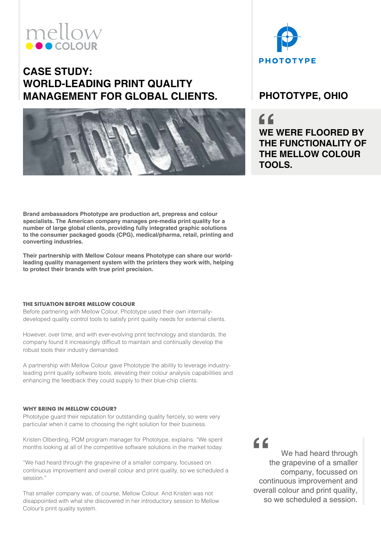# mellow

## **CASE STUDY: WORLD-LEADING PRINT QUALITY MANAGEMENT FOR GLOBAL CLIENTS. PHOTOTYPE, OHIO**





 $C$ **WE WERE FLOORED BY THE FUNCTIONALITY OF THE MELLOW COLOUR TOOLS.**

**Brand ambassadors Phototype are production art, prepress and colour specialists. The American company manages pre-media print quality for a number of large global clients, providing fully integrated graphic solutions to the consumer packaged goods (CPG), medical/pharma, retail, printing and converting industries.**

**Their partnership with Mellow Colour means Phototype can share our worldleading quality management system with the printers they work with, helping to protect their brands with true print precision.**

## **THE SITUATION BEFORE MELLOW COLOUR**

Before partnering with Mellow Colour, Phototype used their own internallydeveloped quality control tools to satisfy print quality needs for external clients.

However, over time, and with ever-evolving print technology and standards, the company found it increasingly difficult to maintain and continually develop the robust tools their industry demanded.

A partnership with Mellow Colour gave Phototype the ability to leverage industryleading print quality software tools, elevating their colour analysis capabilities and enhancing the feedback they could supply to their blue-chip clients.

## **WHY BRING IN MELLOW COLOUR?**

Phototype guard their reputation for outstanding quality fiercely, so were very particular when it came to choosing the right solution for their business.

Kristen Olberding, PQM program manager for Phototype, explains: "We spent months looking at all of the competitive software solutions in the market today.

"We had heard through the grapevine of a smaller company, focussed on continuous improvement and overall colour and print quality, so we scheduled a session."

That smaller company was, of course, Mellow Colour. And Kristen was not disappointed with what she discovered in her introductory session to Mellow Colour's print quality system.

 $66$ 

We had heard through the grapevine of a smaller company, focussed on continuous improvement and overall colour and print quality, so we scheduled a session.